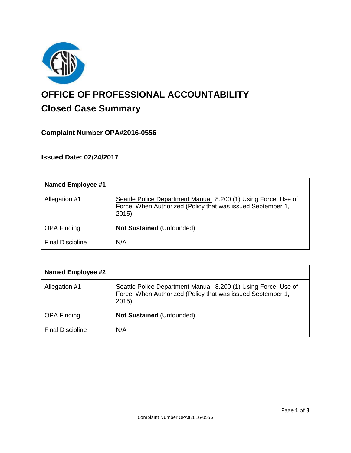

# **OFFICE OF PROFESSIONAL ACCOUNTABILITY Closed Case Summary**

# **Complaint Number OPA#2016-0556**

**Issued Date: 02/24/2017**

| <b>Named Employee #1</b> |                                                                                                                                       |
|--------------------------|---------------------------------------------------------------------------------------------------------------------------------------|
| Allegation #1            | Seattle Police Department Manual 8.200 (1) Using Force: Use of<br>Force: When Authorized (Policy that was issued September 1,<br>2015 |
| <b>OPA Finding</b>       | <b>Not Sustained (Unfounded)</b>                                                                                                      |
| <b>Final Discipline</b>  | N/A                                                                                                                                   |

| <b>Named Employee #2</b> |                                                                                                                                       |
|--------------------------|---------------------------------------------------------------------------------------------------------------------------------------|
| Allegation #1            | Seattle Police Department Manual 8.200 (1) Using Force: Use of<br>Force: When Authorized (Policy that was issued September 1,<br>2015 |
| <b>OPA Finding</b>       | <b>Not Sustained (Unfounded)</b>                                                                                                      |
| <b>Final Discipline</b>  | N/A                                                                                                                                   |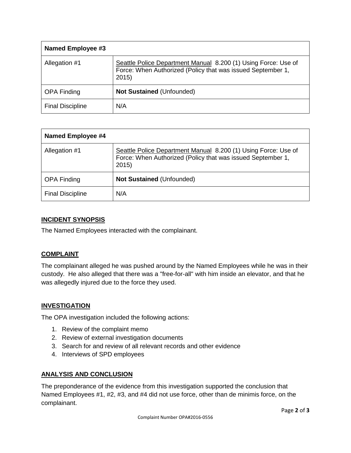| Named Employee #3       |                                                                                                                                       |
|-------------------------|---------------------------------------------------------------------------------------------------------------------------------------|
| Allegation #1           | Seattle Police Department Manual 8.200 (1) Using Force: Use of<br>Force: When Authorized (Policy that was issued September 1,<br>2015 |
| <b>OPA Finding</b>      | Not Sustained (Unfounded)                                                                                                             |
| <b>Final Discipline</b> | N/A                                                                                                                                   |

| <b>Named Employee #4</b> |                                                                                                                                        |
|--------------------------|----------------------------------------------------------------------------------------------------------------------------------------|
| Allegation #1            | Seattle Police Department Manual 8.200 (1) Using Force: Use of<br>Force: When Authorized (Policy that was issued September 1,<br>2015) |
| <b>OPA Finding</b>       | <b>Not Sustained (Unfounded)</b>                                                                                                       |
| <b>Final Discipline</b>  | N/A                                                                                                                                    |

# **INCIDENT SYNOPSIS**

The Named Employees interacted with the complainant.

# **COMPLAINT**

The complainant alleged he was pushed around by the Named Employees while he was in their custody. He also alleged that there was a "free-for-all" with him inside an elevator, and that he was allegedly injured due to the force they used.

#### **INVESTIGATION**

The OPA investigation included the following actions:

- 1. Review of the complaint memo
- 2. Review of external investigation documents
- 3. Search for and review of all relevant records and other evidence
- 4. Interviews of SPD employees

# **ANALYSIS AND CONCLUSION**

The preponderance of the evidence from this investigation supported the conclusion that Named Employees #1, #2, #3, and #4 did not use force, other than de minimis force, on the complainant.